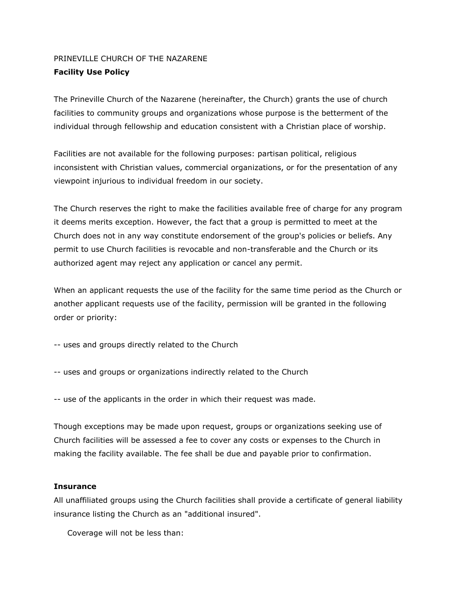## PRINEVILLE CHURCH OF THE NAZARENE **Facility Use Policy**

The Prineville Church of the Nazarene (hereinafter, the Church) grants the use of church facilities to community groups and organizations whose purpose is the betterment of the individual through fellowship and education consistent with a Christian place of worship.

Facilities are not available for the following purposes: partisan political, religious inconsistent with Christian values, commercial organizations, or for the presentation of any viewpoint injurious to individual freedom in our society.

The Church reserves the right to make the facilities available free of charge for any program it deems merits exception. However, the fact that a group is permitted to meet at the Church does not in any way constitute endorsement of the group's policies or beliefs. Any permit to use Church facilities is revocable and non-transferable and the Church or its authorized agent may reject any application or cancel any permit.

When an applicant requests the use of the facility for the same time period as the Church or another applicant requests use of the facility, permission will be granted in the following order or priority:

-- uses and groups directly related to the Church

-- uses and groups or organizations indirectly related to the Church

-- use of the applicants in the order in which their request was made.

Though exceptions may be made upon request, groups or organizations seeking use of Church facilities will be assessed a fee to cover any costs or expenses to the Church in making the facility available. The fee shall be due and payable prior to confirmation.

## **Insurance**

All unaffiliated groups using the Church facilities shall provide a certificate of general liability insurance listing the Church as an "additional insured".

Coverage will not be less than: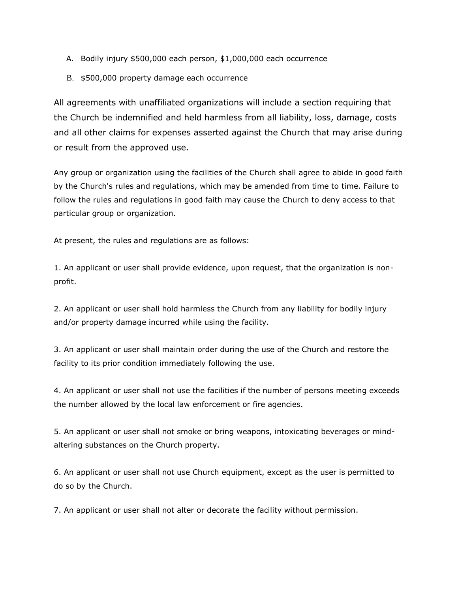- A. Bodily injury \$500,000 each person, \$1,000,000 each occurrence
- B. \$500,000 property damage each occurrence

All agreements with unaffiliated organizations will include a section requiring that the Church be indemnified and held harmless from all liability, loss, damage, costs and all other claims for expenses asserted against the Church that may arise during or result from the approved use.

Any group or organization using the facilities of the Church shall agree to abide in good faith by the Church's rules and regulations, which may be amended from time to time. Failure to follow the rules and regulations in good faith may cause the Church to deny access to that particular group or organization.

At present, the rules and regulations are as follows:

1. An applicant or user shall provide evidence, upon request, that the organization is nonprofit.

2. An applicant or user shall hold harmless the Church from any liability for bodily injury and/or property damage incurred while using the facility.

3. An applicant or user shall maintain order during the use of the Church and restore the facility to its prior condition immediately following the use.

4. An applicant or user shall not use the facilities if the number of persons meeting exceeds the number allowed by the local law enforcement or fire agencies.

5. An applicant or user shall not smoke or bring weapons, intoxicating beverages or mindaltering substances on the Church property.

6. An applicant or user shall not use Church equipment, except as the user is permitted to do so by the Church.

7. An applicant or user shall not alter or decorate the facility without permission.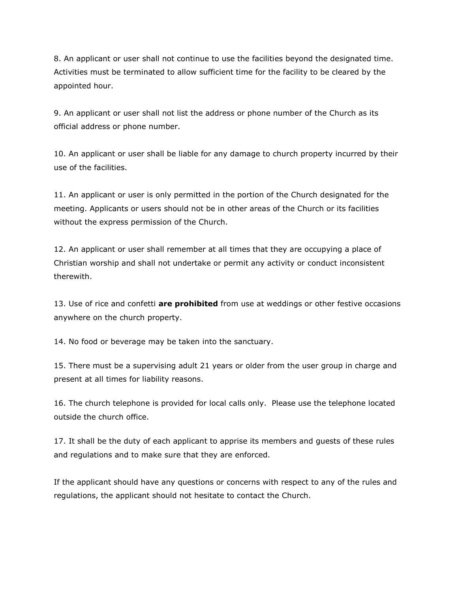8. An applicant or user shall not continue to use the facilities beyond the designated time. Activities must be terminated to allow sufficient time for the facility to be cleared by the appointed hour.

9. An applicant or user shall not list the address or phone number of the Church as its official address or phone number.

10. An applicant or user shall be liable for any damage to church property incurred by their use of the facilities.

11. An applicant or user is only permitted in the portion of the Church designated for the meeting. Applicants or users should not be in other areas of the Church or its facilities without the express permission of the Church.

12. An applicant or user shall remember at all times that they are occupying a place of Christian worship and shall not undertake or permit any activity or conduct inconsistent therewith.

13. Use of rice and confetti **are prohibited** from use at weddings or other festive occasions anywhere on the church property.

14. No food or beverage may be taken into the sanctuary.

15. There must be a supervising adult 21 years or older from the user group in charge and present at all times for liability reasons.

16. The church telephone is provided for local calls only. Please use the telephone located outside the church office.

17. It shall be the duty of each applicant to apprise its members and guests of these rules and regulations and to make sure that they are enforced.

If the applicant should have any questions or concerns with respect to any of the rules and regulations, the applicant should not hesitate to contact the Church.